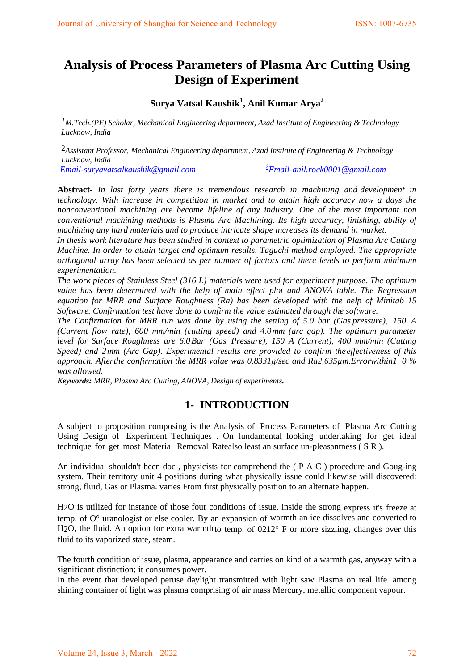# **Analysis of Process Parameters of Plasma Arc Cutting Using Design of Experiment**

## **Surya Vatsal Kaushik1 , Anil Kumar Arya2**

*1M.Tech.(PE) Scholar, Mechanical Engineering department, Azad Institute of Engineering & Technology Lucknow, India*

2*Assistant Professor*, *Mechanical Engineering department, Azad Institute of Engineering & Technology Lucknow, India*

1 *[Email-suryavatsalkaushik@gmail.com](mailto:Email-suryavatsalkaushik@gmail.com) <sup>2</sup>*

*[Email-anil.rock0001@gmail.com](mailto:2Email-anil.rock0001@gmail.com)*

**Abstract-** *In last forty years there is tremendous research in machining and development in technology. With increase in competition in market and to attain high accuracy now a days the nonconventional machining are become lifeline of any industry. One of the most important non conventional machining methods is Plasma Arc Machining. Its high accuracy, finishing, ability of machining any hard materials and to produce intricate shape increases its demand in market.*

*In thesis work literature has been studied in context to parametric optimization of Plasma Arc Cutting Machine. In order to attain target and optimum results, Taguchi method employed. The appropriate orthogonal array has been selected as per number of factors and there levels to perform minimum experimentation.*

*The work pieces of Stainless Steel (316 L) materials were used for experiment purpose. The optimum value has been determined with the help of main effect plot and ANOVA table. The Regression equation for MRR and Surface Roughness (Ra) has been developed with the help of Minitab 15 Software. Confirmation test have done to confirm the value estimated through the software.*

*The Confirmation for MRR run was done by using the setting of 5.0 bar (Gas pressure), 150 A (Current flow rate), 600 mm/min (cutting speed) and 4.0mm (arc gap). The optimum parameter level for Surface Roughness are 6.0Bar (Gas Pressure), 150 A (Current), 400 mm/min (Cutting Speed) and 2 mm (Arc Gap). Experimental results are provided to confirm theeffectiveness of this approach. Afterthe confirmation the MRR value was 0.8331g/sec and Ra2.635µm.Errorwithin1 0 % was allowed.*

*Keywords: MRR, Plasma Arc Cutting, ANOVA, Design of experiments.*

## **1- INTRODUCTION**

A subject to proposition composing is the Analysis of Process Parameters of Plasma Arc Cutting Using Design of, Experiment Techniques . On fundamental looking undertaking for get ideal technique for get most Material Removal Ratealso least an surface un-pleasantness ( S R ).

An individual shouldn't been doc , physicists for comprehend the ( P A C ) procedure and Goug-ing system. Their territory unit 4 positions during what physically issue could likewise will discovered: strong, fluid, Gas or Plasma. varies From first physically position to an alternate happen.

H2O is utilized for instance of those four conditions of issue. inside the strong express it's freeze at temp. of O° uranologist or else cooler. By an expansion of warmth an ice dissolves and converted to H<sub>2</sub>O, the fluid. An option for extra warmth<sub>to temp. of  $0212^{\circ}$  F or more sizzling, changes over this</sub> fluid to its vaporized state, steam.

The fourth condition of issue, plasma, appearance and carries on kind of a warmth gas, anyway with a significant distinction; it consumes power.

In the event that developed peruse daylight transmitted with light saw Plasma on real life. among shining container of light was plasma comprising of air mass Mercury, metallic component vapour.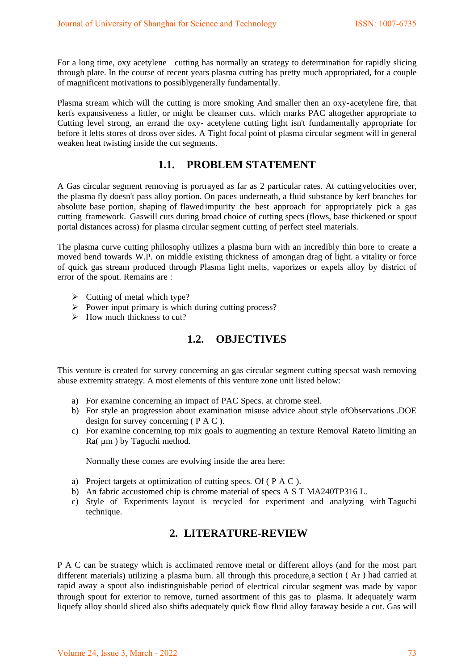For a long time, oxy acetylene cutting has normally an strategy to determination for rapidly slicing through plate. In the course of recent years plasma cutting has pretty much appropriated, for a couple of magnificent motivations to possiblygenerally fundamentally.

Plasma stream which will the cutting is more smoking And smaller then an oxy- acetylene fire, that kerfs expansiveness a littler, or might be cleanser cuts. which marks PAC altogether appropriate to Cutting level strong, an errand the oxy- acetylene cutting light isn't fundamentally appropriate for before it lefts stores of dross over sides. A Tight focal point of plasma circular segment will in general weaken heat twisting inside the cut segments.

## **1.1. PROBLEM STATEMENT**

A Gas circular segment removing is portrayed as far as 2 particular rates. At cuttingvelocities over, the plasma fly doesn't pass alloy portion. On paces underneath, a fluid substance by kerf branches for absolute base portion, shaping of flawedimpurity the best approach for appropriately pick a gas cutting framework. Gaswill cuts during broad choice of cutting specs (flows, base thickened or spout portal distances across) for plasma circular segment cutting of perfect steel materials.

The plasma curve cutting philosophy utilizes a plasma burn with an incredibly thin bore to create a moved bend towards W.P. on middle existing thickness of amongan drag of light. a vitality or force of quick gas stream produced through Plasma light melts, vaporizes or expels alloy by district of error of the spout. Remains are :

- $\triangleright$  Cutting of metal which type?
- $\triangleright$  Power input primary is which during cutting process?
- $\triangleright$  How much thickness to cut?

## **1.2. OBJECTIVES**

This venture is created for survey concerning an gas circular segment cutting specsat wash removing abuse extremity strategy. A most elements of this venture zone unit listed below:

- a) For examine concerning an impact of PAC Specs. at chrome steel.
- b) For style an progression about examination misuse advice about style ofObservations .DOE design for survey concerning ( P A C ).
- c) For examine concerning top mix goals to augmenting an texture Removal Rateto limiting an Ra(  $\mu$ m ) by Taguchi method.

Normally these comes are evolving inside the area here:

- a) Project targets at optimization of cutting specs. Of ( P A C ).
- b) An fabric accustomed chip is chrome material of specs A S T MA240TP316 L.
- c) Style of Experiments layout is recycled for experiment and analyzing with Taguchi technique.

## **2. LITERATURE-REVIEW**

P A C can be strategy which is acclimated remove metal or different alloys (and for the most part different materials) utilizing a plasma burn. all through this procedure, a section (Ar) had carried at rapid away a spout also indistinguishable period of electrical circular segment was made by vapor through spout for exterior to remove, turned assortment of this gas to plasma. It adequately warm liquefy alloy should sliced also shifts adequately quick flow fluid alloy faraway beside a cut. Gas will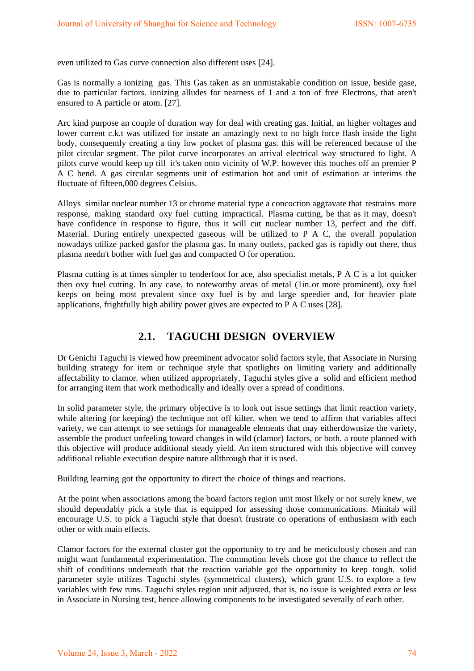even utilized to Gas curve connection also different uses [24].

Gas is normally a ionizing gas. This Gas taken as an unmistakable condition on issue, beside gase, due to particular factors. ionizing alludes for nearness of 1 and a ton of free Electrons, that aren't ensured to A particle or atom. [27].

Arc kind purpose an couple of duration way for deal with creating gas. Initial, an higher voltages and lower current c.k.t was utilized for instate an amazingly next to no high force flash inside the light body, consequently creating a tiny low pocket of plasma gas. this will be referenced because of the pilot circular segment. The pilot curve incorporates an arrival electrical way structured to light. A pilots curve would keep up till it's taken onto vicinity of W.P. however this touches off an premier P A C bend. A gas circular segments unit of estimation hot and unit of estimation at interims the fluctuate of fifteen,000 degrees Celsius.

Alloys similar nuclear number 13 or chrome material type a concoction aggravate that restrains more response, making standard oxy fuel cutting impractical. Plasma cutting, be that as it may, doesn't have confidence in response to figure, thus it will cut nuclear number 13, perfect and the diff. Material. During entirely unexpected gaseous will be utilized to P A C, the overall population nowadays utilize packed gasfor the plasma gas. In many outlets, packed gas is rapidly out there, thus plasma needn't bother with fuel gas and compacted O for operation.

Plasma cutting is at times simpler to tenderfoot for ace, also specialist metals, P A C is a lot quicker then oxy fuel cutting. In any case, to noteworthy areas of metal (1in.or more prominent), oxy fuel keeps on being most prevalent since oxy fuel is by and large speedier and, for heavier plate applications, frightfully high ability power gives are expected to P A C uses [28].

## **2.1. TAGUCHI DESIGN OVERVIEW**

Dr Genichi Taguchi is viewed how preeminent advocator solid factors style, that Associate in Nursing building strategy for item or technique style that spotlights on limiting variety and additionally affectability to clamor. when utilized appropriately, Taguchi styles give a solid and efficient method for arranging item that work methodically and ideally over a spread of conditions.

In solid parameter style, the primary objective is to look out issue settings that limit reaction variety, while altering (or keeping) the technique not off kilter. when we tend to affirm that variables affect variety, we can attempt to see settings for manageable elements that may eitherdownsize the variety, assemble the product unfeeling toward changes in wild (clamor) factors, or both. a route planned with this objective will produce additional steady yield. An item structured with this objective will convey additional reliable execution despite nature allthrough that it is used.

Building learning got the opportunity to direct the choice of things and reactions.

At the point when associations among the board factors region unit most likely or not surely knew, we should dependably pick a style that is equipped for assessing those communications. Minitab will encourage U.S. to pick a Taguchi style that doesn't frustrate co operations of enthusiasm with each other or with main effects.

Clamor factors for the external cluster got the opportunity to try and be meticulously chosen and can might want fundamental experimentation. The commotion levels chose got the chance to reflect the shift of conditions underneath that the reaction variable got the opportunity to keep tough. solid parameter style utilizes Taguchi styles (symmetrical clusters), which grant U.S. to explore a few variables with few runs. Taguchi styles region unit adjusted, that is, no issue is weighted extra or less in Associate in Nursing test, hence allowing components to be investigated severally of each other.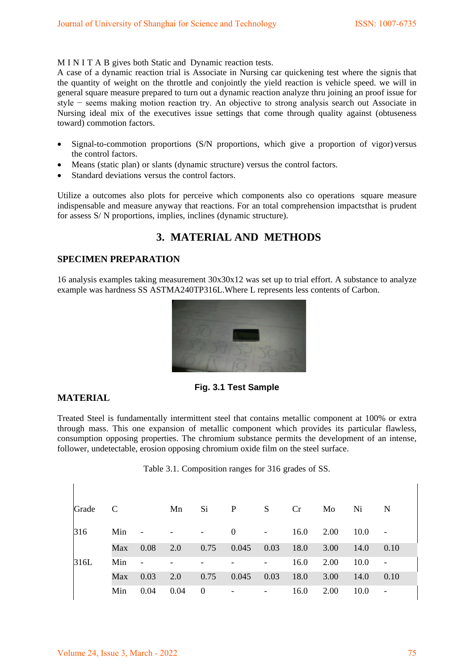M I N I T A B gives both Static and Dynamic reaction tests.

A case of a dynamic reaction trial is Associate in Nursing car quickening test where the signis that the quantity of weight on the throttle and conjointly the yield reaction is vehicle speed. we will in general square measure prepared to turn out a dynamic reaction analyze thru joining an proof issue for style − seems making motion reaction try. An objective to strong analysis search out Associate in Nursing ideal mix of the executives issue settings that come through quality against (obtuseness toward) commotion factors.

- Signal-to-commotion proportions (S/N proportions, which give a proportion of vigor) versus the control factors.
- Means (static plan) or slants (dynamic structure) versus the control factors.
- Standard deviations versus the control factors.

Utilize a outcomes also plots for perceive which components also co operations square measure indispensable and measure anyway that reactions. For an total comprehension impactsthat is prudent for assess S/ N proportions, implies, inclines (dynamic structure).

## **3. MATERIAL AND METHODS**

### **SPECIMEN PREPARATION**

16 analysis examples taking measurement 30x30x12 was set up to trial effort. A substance to analyze example was hardness SS ASTMA240TP316L.Where L represents less contents of Carbon.



### **Fig. 3.1 Test Sample**

### **MATERIAL**

Treated Steel is fundamentally intermittent steel that contains metallic component at 100% or extra through mass. This one expansion of metallic component which provides its particular flawless, consumption opposing properties. The chromium substance permits the development of an intense, follower, undetectable, erosion opposing chromium oxide film on the steel surface.

Table 3.1. Composition ranges for 316 grades of SS.

| Grade C |     |                          | Mn                  | Si.                      | $\mathbf{P}$             | S.                                                                                          | Cr   | Mo   | Ni   | - N                      |
|---------|-----|--------------------------|---------------------|--------------------------|--------------------------|---------------------------------------------------------------------------------------------|------|------|------|--------------------------|
| 316     | Min | $\sim$ $-$               | with the company of |                          | $\mathbf{0}$             | $\mathcal{L}^{\mathcal{L}}_{\mathcal{L}}$ , where $\mathcal{L}^{\mathcal{L}}_{\mathcal{L}}$ | 16.0 | 2.00 | 10.0 |                          |
|         | Max | 0.08                     | 2.0                 | 0.75                     | 0.045                    | 0.03                                                                                        | 18.0 | 3.00 | 14.0 | 0.10                     |
| 316L    | Min | $\overline{\phantom{a}}$ |                     |                          |                          |                                                                                             | 16.0 | 2.00 | 10.0 |                          |
|         | Max | 0.03                     | 2.0                 | 0.75                     | 0.045                    | 0.03                                                                                        | 18.0 | 3.00 | 14.0 | 0.10                     |
|         | Min | 0.04                     | 0.04                | $\overline{\phantom{0}}$ | $\overline{\phantom{a}}$ | $\overline{\phantom{a}}$                                                                    | 16.0 | 2.00 | 10.0 | $\overline{\phantom{a}}$ |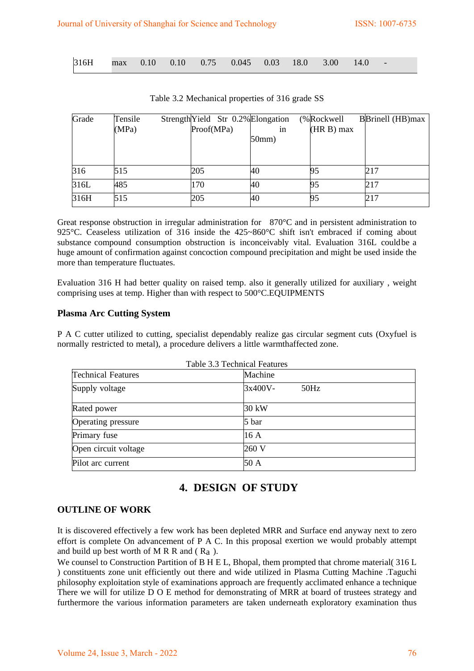| 316H max 0.10 0.10 0.75 0.045 0.03 18.0 3.00 14.0 - |  |  |  |  |  |  |  |  |  |  |  |
|-----------------------------------------------------|--|--|--|--|--|--|--|--|--|--|--|
|-----------------------------------------------------|--|--|--|--|--|--|--|--|--|--|--|

| Grade | Tensile | Strength Yield Str 0.2% Elongation |       | (%Rockwell)  | <b>BBrinell</b> (HB)max |
|-------|---------|------------------------------------|-------|--------------|-------------------------|
|       | (MPa)   | Proof(MPa)                         | in    | $(HR B)$ max |                         |
|       |         |                                    | 50mm) |              |                         |
|       |         |                                    |       |              |                         |
|       |         |                                    |       |              |                         |
| 316   | 515     | 205                                | 40    | כפ           | 217                     |
| 316L  | 485     | 170                                | 40    | 95           | 217                     |
| 316H  | 515     | 205                                | 40    | 95           | 217                     |

Table 3.2 Mechanical properties of 316 grade SS

Great response obstruction in irregular administration for 870°C and in persistent administration to 925°C. Ceaseless utilization of 316 inside the 425~860°C shift isn't embraced if coming about substance compound consumption obstruction is inconceivably vital. Evaluation 316L couldbe a huge amount of confirmation against concoction compound precipitation and might be used inside the more than temperature fluctuates.

Evaluation 316 H had better quality on raised temp. also it generally utilized for auxiliary , weight comprising uses at temp. Higher than with respect to 500°C.EQUIPMENTS

### **Plasma Arc Cutting System**

P A C cutter utilized to cutting, specialist dependably realize gas circular segment cuts (Oxyfuel is normally restricted to metal), a procedure delivers a little warmthaffected zone.

| <b>Technical Features</b> | Machine         |
|---------------------------|-----------------|
| Supply voltage            | 3x400V-<br>50Hz |
| Rated power               | 30 kW           |
| Operating pressure        | 5 bar           |
| Primary fuse              | 16 A            |
| Open circuit voltage      | 260 V           |
| Pilot arc current         | 50A             |

## $T = 11.32 T + 1.5 T$

## **4. DESIGN OF STUDY**

#### **OUTLINE OF WORK**

It is discovered effectively a few work has been depleted MRR and Surface end anyway next to zero effort is complete On advancement of P A C. In this proposal exertion we would probably attempt and build up best worth of M R R and  $(R_a)$ .

We counsel to Construction Partition of B H E L, Bhopal, them prompted that chrome material( 316 L ) constituents zone unit efficiently out there and wide utilized in Plasma Cutting Machine .Taguchi philosophy exploitation style of examinations approach are frequently acclimated enhance a technique There we will for utilize D O E method for demonstrating of MRR at board of trustees strategy and furthermore the various information parameters are taken underneath exploratory examination thus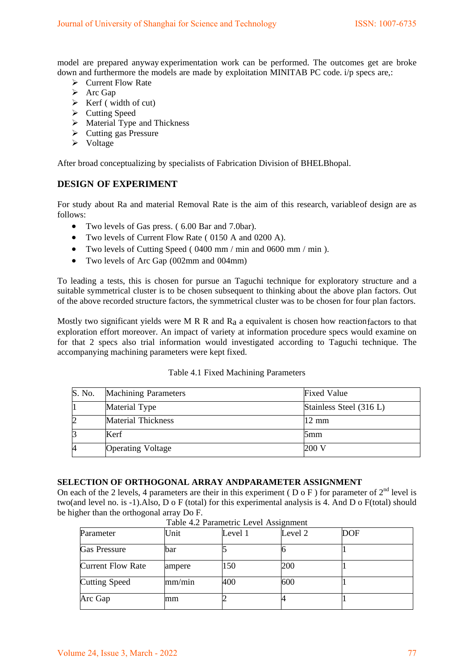model are prepared anyway experimentation work can be performed. The outcomes get are broke down and furthermore the models are made by exploitation MINITAB PC code. i/p specs are,:

- $\triangleright$  Current Flow Rate
- $\triangleright$  Arc Gap
- $\triangleright$  Kerf (width of cut)
- $\triangleright$  Cutting Speed
- $\triangleright$  Material Type and Thickness
- $\triangleright$  Cutting gas Pressure
- $\triangleright$  Voltage

After broad conceptualizing by specialists of Fabrication Division of BHELBhopal.

#### **DESIGN OF EXPERIMENT**

For study about Ra and material Removal Rate is the aim of this research, variableof design are as follows:

- Two levels of Gas press. ( 6.00 Bar and 7.0bar).
- Two levels of Current Flow Rate ( 0150 A and 0200 A).
- Two levels of Cutting Speed ( 0400 mm / min and 0600 mm / min ).
- Two levels of Arc Gap (002mm and 004mm)

To leading a tests, this is chosen for pursue an Taguchi technique for exploratory structure and a suitable symmetrical cluster is to be chosen subsequent to thinking about the above plan factors. Out of the above recorded structure factors, the symmetrical cluster was to be chosen for four plan factors.

Mostly two significant yields were M R R and  $R_a$  a equivalent is chosen how reaction factors to that exploration effort moreover. An impact of variety at information procedure specs would examine on for that 2 specs also trial information would investigated according to Taguchi technique. The accompanying machining parameters were kept fixed.

#### Table 4.1 Fixed Machining Parameters

| S. No. | <b>Machining Parameters</b> | <b>Fixed Value</b>      |
|--------|-----------------------------|-------------------------|
|        | Material Type               | Stainless Steel (316 L) |
|        | <b>Material Thickness</b>   | $12 \text{ mm}$         |
|        | Kerf                        | 5mm                     |
|        | <b>Operating Voltage</b>    | 200 V                   |

#### **SELECTION OF ORTHOGONAL ARRAY ANDPARAMETER ASSIGNMENT**

On each of the 2 levels, 4 parameters are their in this experiment (  $D \circ F$  ) for parameter of  $2^{nd}$  level is two(and level no. is -1).Also, D o F (total) for this experimental analysis is 4. And D o F(total) should be higher than the orthogonal array Do F.

| Parameter                | Unit   | Level 1 | Level 2 | <b>DOF</b> |  |
|--------------------------|--------|---------|---------|------------|--|
| <b>Gas Pressure</b>      | bar    |         |         |            |  |
| <b>Current Flow Rate</b> | ampere | 150     | 200     |            |  |
| <b>Cutting Speed</b>     | mm/min | 400     | 600     |            |  |
| Arc Gap                  | mm     |         |         |            |  |

Table 4.2 Parametric Level Assignment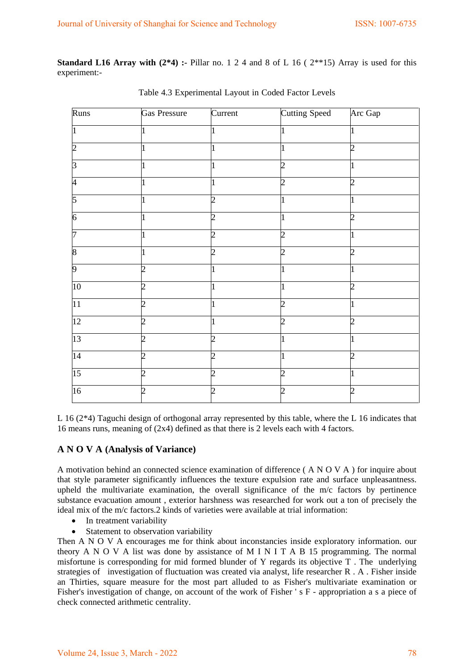**Standard L16 Array with**  $(2^*4)$  **:- Pillar no. 1 2 4 and 8 of L 16 (**  $2^{**}15$ **) Array is used for this** experiment:-

| Runs                     | Gas Pressure   | $\overline{\text{Current}}$ | <b>Cutting Speed</b> | Arc Gap               |
|--------------------------|----------------|-----------------------------|----------------------|-----------------------|
|                          |                |                             |                      |                       |
| b.                       | 1              | ı                           | L                    | $\mathcal{D}_{\cdot}$ |
| 3                        | 1              |                             | າ                    |                       |
| $\overline{\mathcal{A}}$ |                | 1                           | 2                    | 2                     |
| 5                        |                | $\overline{2}$              |                      |                       |
| 6                        |                | 2                           |                      | 2                     |
| 17                       | 1              | $\mathcal{D}_{\mathcal{A}}$ | 7                    |                       |
| 8                        | 1              | $\overline{2}$              | $\overline{c}$       | $\mathcal{D}$         |
| 9                        | $\overline{c}$ |                             |                      |                       |
| 10                       | $\overline{2}$ | 1                           |                      | $\mathcal{D}_{\cdot}$ |
| $\overline{11}$          | $\overline{2}$ | 1                           | 2                    |                       |
| 12                       | 2              |                             | 2                    | 2                     |
| 13                       | 2              | 2                           |                      |                       |
| 14                       | っ              | າ                           |                      |                       |
| $\overline{15}$          | $\overline{c}$ | $\overline{2}$              | $\overline{c}$       | 1                     |
| $\overline{16}$          | $\overline{c}$ | $\overline{2}$              | 2                    | 2                     |

Table 4.3 Experimental Layout in Coded Factor Levels

L 16 (2\*4) Taguchi design of orthogonal array represented by this table, where the L 16 indicates that 16 means runs, meaning of (2x4) defined as that there is 2 levels each with 4 factors.

### **A N O V A (Analysis of Variance)**

A motivation behind an connected science examination of difference ( A N O V A ) for inquire about that style parameter significantly influences the texture expulsion rate and surface unpleasantness. upheld the multivariate examination, the overall significance of the m/c factors by pertinence substance evacuation amount , exterior harshness was researched for work out a ton of precisely the ideal mix of the m/c factors.2 kinds of varieties were available at trial information:

- In treatment variability
- Statement to observation variability

Then A N O V A encourages me for think about inconstancies inside exploratory information. our theory A N O V A list was done by assistance of M I N I T A B 15 programming. The normal misfortune is corresponding for mid formed blunder of Y regards its objective T . The underlying strategies of investigation of fluctuation was created via analyst, life researcher R . A . Fisher inside an Thirties, square measure for the most part alluded to as Fisher's multivariate examination or Fisher's investigation of change, on account of the work of Fisher ' s F - appropriation a s a piece of check connected arithmetic centrality.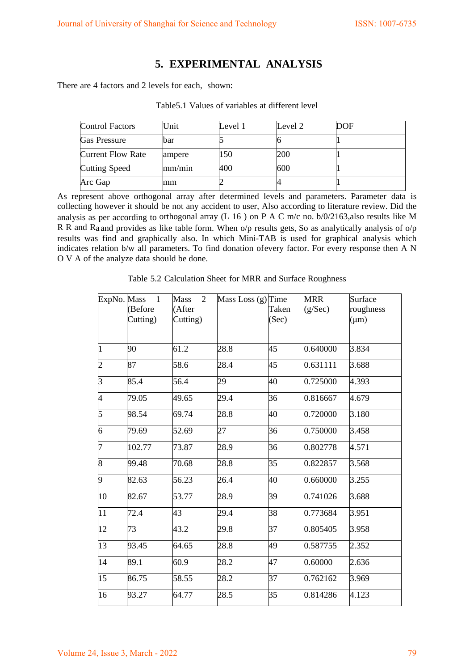### **5. EXPERIMENTAL ANALYSIS**

There are 4 factors and 2 levels for each, shown:

| <b>Control Factors</b>   | Unit   | Level 1 | Level 2 | DOF |
|--------------------------|--------|---------|---------|-----|
| <b>Gas Pressure</b>      | bar    |         |         |     |
| <b>Current Flow Rate</b> | ampere | 150     | 200     |     |
| <b>Cutting Speed</b>     | mm/min | 400     | 600     |     |
| Arc Gap                  | mm     |         |         |     |

Table5.1 Values of variables at different level

As represent above orthogonal array after determined levels and parameters. Parameter data is collecting however it should be not any accident to user, Also according to literature review. Did the analysis as per according to orthogonal array (L 16 ) on P A C m/c no. b/0/2163,also results like M R R and Ra and provides as like table form. When o/p results gets, So as analytically analysis of o/p results was find and graphically also. In which Mini-TAB is used for graphical analysis which indicates relation b/w all parameters. To find donation ofevery factor. For every response then A N O V A of the analyze data should be done.

| ExpNo. Mass    | $\overline{1}$<br>(Before<br>Cutting) | $\overline{2}$<br>Mass<br>(After<br>Cutting) | Mass Loss (g) Time | Taken<br>(Sec) | <b>MRR</b><br>(g/Sec) | Surface<br>roughness<br>$(\mu m)$ |
|----------------|---------------------------------------|----------------------------------------------|--------------------|----------------|-----------------------|-----------------------------------|
| 1              | 90                                    | 61.2                                         | 28.8               | 45             | 0.640000              | 3.834                             |
| $\overline{2}$ | 87                                    | 58.6                                         | 28.4               | 45             | 0.631111              | 3.688                             |
| $\overline{3}$ | 85.4                                  | 56.4                                         | 29                 | 40             | 0.725000              | 4.393                             |
| 4              | 79.05                                 | 49.65                                        | 29.4               | 36             | 0.816667              | 4.679                             |
| 5              | 98.54                                 | 69.74                                        | 28.8               | 40             | 0.720000              | 3.180                             |
| 6              | 79.69                                 | 52.69                                        | 27                 | 36             | 0.750000              | 3.458                             |
| 7              | 102.77                                | 73.87                                        | 28.9               | 36             | 0.802778              | 4.571                             |
| 8              | 99.48                                 | 70.68                                        | 28.8               | 35             | 0.822857              | 3.568                             |
| 9              | 82.63                                 | 56.23                                        | 26.4               | 40             | 0.660000              | 3.255                             |
| 10             | 82.67                                 | 53.77                                        | 28.9               | 39             | 0.741026              | 3.688                             |
| 11             | 72.4                                  | 43                                           | 29.4               | 38             | 0.773684              | 3.951                             |
| 12             | 73                                    | 43.2                                         | 29.8               | 37             | 0.805405              | 3.958                             |
| 13             | 93.45                                 | 64.65                                        | 28.8               | 49             | 0.587755              | 2.352                             |
| 14             | 89.1                                  | 60.9                                         | 28.2               | 47             | 0.60000               | 2.636                             |
| 15             | 86.75                                 | 58.55                                        | 28.2               | 37             | 0.762162              | 3.969                             |
| 16             | 93.27                                 | 64.77                                        | 28.5               | 35             | 0.814286              | 4.123                             |

Table 5.2 Calculation Sheet for MRR and Surface Roughness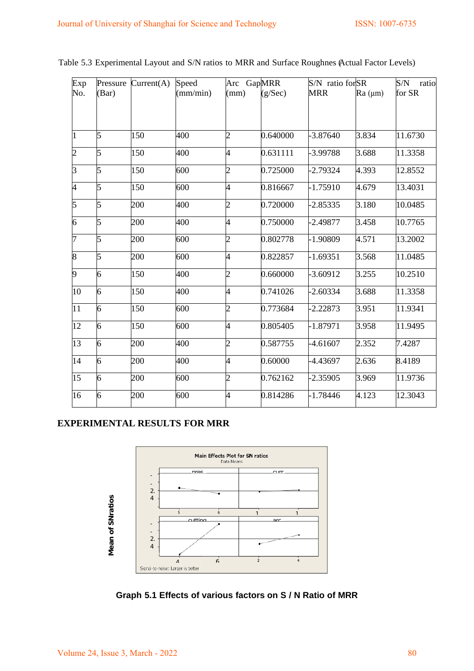| Exp | Pressure       | Current(A) | Speed    | Arc GapMRR     |          | S/N ratio for SR |         | ${\rm S/N}$<br>ratio |
|-----|----------------|------------|----------|----------------|----------|------------------|---------|----------------------|
| No. | (Bar)          |            | (mm/min) | (mm)           | (g/Sec)  | <b>MRR</b>       | Ra (µm) | for SR               |
| 1   | 5              | 150        | 400      | $\overline{2}$ | 0.640000 | $-3.87640$       | 3.834   | 11.6730              |
| 2   | 5              | 150        | 400      | 4              | 0.631111 | -3.99788         | 3.688   | 11.3358              |
| 3   | 5              | 150        | 600      | $\overline{c}$ | 0.725000 | $-2.79324$       | 4.393   | 12.8552              |
| 4   | 5              | 150        | 600      | 4              | 0.816667 | $-1.75910$       | 4.679   | 13.4031              |
| 5   | 5              | 200        | 400      | $\overline{c}$ | 0.720000 | $-2.85335$       | 3.180   | 10.0485              |
| 6   | 5              | 200        | 400      | 4              | 0.750000 | $-2.49877$       | 3.458   | 10.7765              |
| 7   | 5              | 200        | 600      | $\overline{c}$ | 0.802778 | $-1.90809$       | 4.571   | 13.2002              |
| 8   | 5              | 200        | 600      | 4              | 0.822857 | -1.69351         | 3.568   | 11.0485              |
| 9   | 6              | 150        | 400      | $\overline{c}$ | 0.660000 | $-3.60912$       | 3.255   | 10.2510              |
| 10  | 6              | 150        | 400      | 4              | 0.741026 | $-2.60334$       | 3.688   | 11.3358              |
| 11  | 6              | 150        | 600      | $\overline{2}$ | 0.773684 | -2.22873         | 3.951   | 11.9341              |
| 12  | 6              | 150        | 600      | 4              | 0.805405 | $-1.87971$       | 3.958   | 11.9495              |
| 13  | 6              | 200        | 400      | $\overline{2}$ | 0.587755 | $-4.61607$       | 2.352   | 7.4287               |
| 14  | $\overline{6}$ | 200        | 400      | 4              | 0.60000  | -4.43697         | 2.636   | 8.4189               |
| 15  | 6              | 200        | 600      | $\overline{c}$ | 0.762162 | -2.35905         | 3.969   | 11.9736              |
| 16  | 6              | 200        | 600      | 4              | 0.814286 | $-1.78446$       | 4.123   | 12.3043              |
|     |                |            |          |                |          |                  |         |                      |

Table 5.3 Experimental Layout and S/N ratios to MRR and Surface Roughnes (Actual Factor Levels)

### **EXPERIMENTAL RESULTS FOR MRR**



**Graph 5.1 Effects of various factors on S / N Ratio of MRR**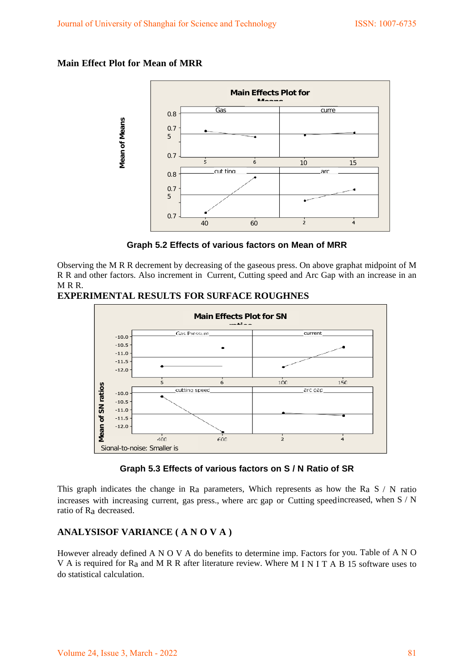### **Main Effect Plot for Mean of MRR**



**Graph 5.2 Effects of various factors on Mean of MRR**

Observing the M R R decrement by decreasing of the gaseous press. On above graphat midpoint of M R R and other factors. Also increment in Current, Cutting speed and Arc Gap with an increase in an  $M \ R \ R$ 

### **EXPERIMENTAL RESULTS FOR SURFACE ROUGHNES**



### **Graph 5.3 Effects of various factors on S / N Ratio of SR**

This graph indicates the change in Ra parameters, Which represents as how the Ra S  $\land$  N ratio increases with increasing current, gas press., where arc gap or Cutting speedincreased, when S / N ratio of Ra decreased.

### **ANALYSISOF VARIANCE ( A N O V A )**

However already defined A N O V A do benefits to determine imp. Factors for you. Table of A N O V A is required for Ra and M R R after literature review. Where M I N I T A B 15 software uses to do statistical calculation.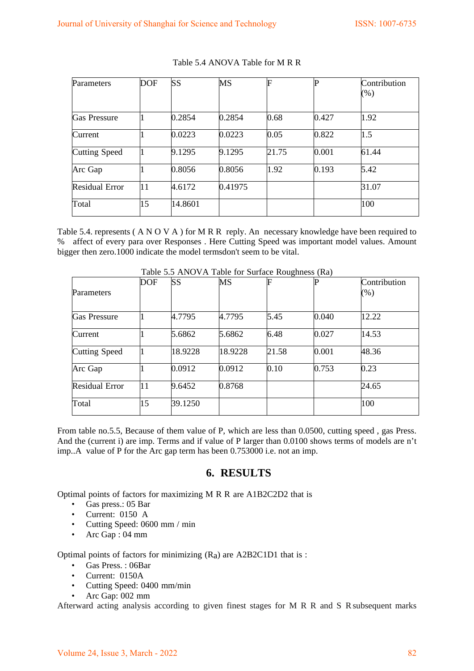| Parameters            | <b>DOF</b> | <b>SS</b> | MS      | F     |       | Contribution |
|-----------------------|------------|-----------|---------|-------|-------|--------------|
|                       |            |           |         |       |       | (%)          |
|                       |            |           |         |       |       |              |
| <b>Gas Pressure</b>   |            | 0.2854    | 0.2854  | 0.68  | 0.427 | 1.92         |
| Current               |            | 0.0223    | 0.0223  | 0.05  | 0.822 | 1.5          |
| Cutting Speed         |            | 9.1295    | 9.1295  | 21.75 | 0.001 | 61.44        |
| Arc Gap               |            | 0.8056    | 0.8056  | 1.92  | 0.193 | 5.42         |
| <b>Residual Error</b> | 11         | 4.6172    | 0.41975 |       |       | 31.07        |
| Total                 | 15         | 14.8601   |         |       |       | 100          |

#### Table 5.4 ANOVA Table for M R R

Table 5.4. represents (A N O V A ) for M R R reply. An necessary knowledge have been required to % affect of every para over Responses . Here Cutting Speed was important model values. Amount bigger then zero.1000 indicate the model termsdon't seem to be vital.

|                       | <b>DOF</b> | SS      | MS      | F     |       | Contribution |
|-----------------------|------------|---------|---------|-------|-------|--------------|
| Parameters            |            |         |         |       |       | $(\%)$       |
| <b>Gas Pressure</b>   |            | 4.7795  | 4.7795  | 5.45  | 0.040 | 12.22        |
| Current               |            | 5.6862  | 5.6862  | 6.48  | 0.027 | 14.53        |
| <b>Cutting Speed</b>  |            | 18.9228 | 18.9228 | 21.58 | 0.001 | 48.36        |
| Arc Gap               |            | 0.0912  | 0.0912  | 0.10  | 0.753 | 0.23         |
| <b>Residual Error</b> | 11         | 9.6452  | 0.8768  |       |       | 24.65        |
| Total                 | 15         | 39.1250 |         |       |       | 100          |

Table 5.5 ANOVA Table for Surface Roughness (Ra)

From table no.5.5, Because of them value of P, which are less than 0.0500, cutting speed , gas Press. And the (current i) are imp. Terms and if value of P larger than 0.0100 shows terms of models are n't imp..A value of P for the Arc gap term has been 0.753000 i.e. not an imp.

### **6. RESULTS**

Optimal points of factors for maximizing M R R are A1B2C2D2 that is

- Gas press.: 05 Bar
- Current: 0150 A
- Cutting Speed: 0600 mm / min
- Arc Gap: 04 mm

Optimal points of factors for minimizing  $(R<sub>a</sub>)$  are A2B2C1D1 that is :

- Gas Press. : 06Bar
- Current: 0150A
- Cutting Speed: 0400 mm/min
- Arc Gap: 002 mm

Afterward acting analysis according to given finest stages for M R R and S R subsequent marks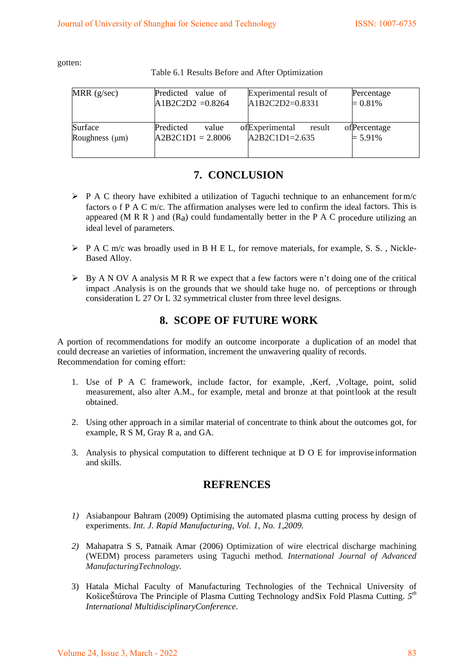gotten:

Table 6.1 Results Before and After Optimization

| MRR $(g/sec)$                  | Predicted value of                        | Experimental result of                       | Percentage                  |
|--------------------------------|-------------------------------------------|----------------------------------------------|-----------------------------|
|                                | $A1B2C2D2 = 0.8264$                       | A1B2C2D2=0.8331                              | $= 0.81\%$                  |
| Surface<br>Roughness $(\mu m)$ | Predicted<br>value<br>$A2B2C1D1 = 2.8006$ | ofExperimental<br>result<br>$A2B2C1D1=2.635$ | of Percentage<br>$= 5.91\%$ |

## **7. CONCLUSION**

- $\triangleright$  P A C theory have exhibited a utilization of Taguchi technique to an enhancement form/c factors o f P A C m/c. The affirmation analyses were led to confirm the ideal factors. This is appeared (M R R ) and  $(R<sub>a</sub>)$  could fundamentally better in the P A C procedure utilizing an ideal level of parameters.
- P A C m/c was broadly used in B H E L, for remove materials, for example, S. S. , Nickle-Based Alloy.
- $\triangleright$  By A N OV A analysis M R R we expect that a few factors were n't doing one of the critical impact .Analysis is on the grounds that we should take huge no. of perceptions or through consideration L 27 Or L 32 symmetrical cluster from three level designs.

## **8. SCOPE OF FUTURE WORK**

A portion of recommendations for modify an outcome incorporate a duplication of an model that could decrease an varieties of information, increment the unwavering quality of records. Recommendation for coming effort:

- 1. Use of P A C framework, include factor, for example, ,Kerf, ,Voltage, point, solid measurement, also alter A.M., for example, metal and bronze at that pointlook at the result obtained.
- 2. Using other approach in a similar material of concentrate to think about the outcomes got, for example, R S M, Gray R a, and GA.
- 3. Analysis to physical computation to different technique at D O E for improvise information and skills.

## **REFRENCES**

- *1)* Asiabanpour Bahram (2009) Optimising the automated plasma cutting process by design of experiments. *Int. J. Rapid Manufacturing, Vol. 1, No. 1,2009.*
- *2)* Mahapatra S S, Patnaik Amar (2006) Optimization of wire electrical discharge machining (WEDM) process parameters using Taguchi method*. International Journal of Advanced ManufacturingTechnology.*
- 3) Hatala Michal Faculty of Manufacturing Technologies of the Technical University of KošiceŠtúrova The Principle of Plasma Cutting Technology andSix Fold Plasma Cutting. *5th International MultidisciplinaryConference*.